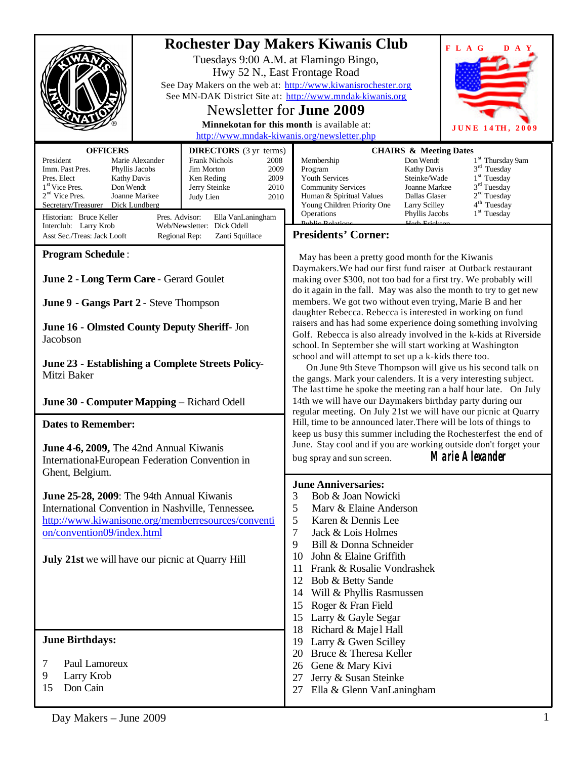| <b>OFFICERS</b><br><b>DIRECTORS</b> (3 yr terms)<br>President<br>Marie Alexander<br><b>Frank Nichols</b><br>2008<br>Imm. Past Pres.<br>Phyllis Jacobs<br><b>Jim Morton</b><br>2009<br>Pres. Elect<br><b>Kathy Davis</b><br>Ken Reding<br>2009<br>1 <sup>st</sup> Vice Pres.<br>Don Wendt<br>Jerry Steinke<br>2010<br>2 <sup>nd</sup> Vice Pres.<br>Joanne Markee<br>Judy Lien<br>2010<br>Secretary/Treasurer Dick Lundberg | <b>Rochester Day Makers Kiwanis Club</b><br>FLAG<br>D A Y<br>Tuesdays 9:00 A.M. at Flamingo Bingo,<br>Hwy 52 N., East Frontage Road<br>See Day Makers on the web at: http://www.kiwanisrochester.org<br>See MN-DAK District Site at: http://www.mndak-kiwanis.org<br>Newsletter for <b>June 2009</b><br>Minnekotan for this month is available at:<br>JUNE 14TH, 2009<br>http://www.mndak-kiwanis.org/newsletter.php<br><b>CHAIRS &amp; Meeting Dates</b><br>Don Wendt<br>1 <sup>st</sup> Thursday 9am<br>Membership<br>$3rd$ Tuesday<br>Kathy Davis<br>Program<br>$1st$ Tuesday<br>Youth Services<br>Steinke/Wade<br>$3rd$ Tuesday<br><b>Community Services</b><br>Joanne Markee<br>2 <sup>nd</sup> Tuesday<br>Human & Spiritual Values<br>Dallas Glaser<br>4 <sup>th</sup> Tuesday<br>Young Children Priority One<br>Larry Scilley                                                                                                                                                                                                                                                                                                                                                                                                                       |  |  |
|----------------------------------------------------------------------------------------------------------------------------------------------------------------------------------------------------------------------------------------------------------------------------------------------------------------------------------------------------------------------------------------------------------------------------|------------------------------------------------------------------------------------------------------------------------------------------------------------------------------------------------------------------------------------------------------------------------------------------------------------------------------------------------------------------------------------------------------------------------------------------------------------------------------------------------------------------------------------------------------------------------------------------------------------------------------------------------------------------------------------------------------------------------------------------------------------------------------------------------------------------------------------------------------------------------------------------------------------------------------------------------------------------------------------------------------------------------------------------------------------------------------------------------------------------------------------------------------------------------------------------------------------------------------------------------------------|--|--|
| Historian: Bruce Keller<br>Pres. Advisor:<br>Ella VanLaningham<br>Web/Newsletter: Dick Odell<br>Interclub: Larry Krob<br>Asst Sec./Treas: Jack Looft<br>Zanti Squillace<br>Regional Rep:                                                                                                                                                                                                                                   | $1st$ Tuesday<br>Operations<br>Phyllis Jacobs<br><b>Presidents' Corner:</b>                                                                                                                                                                                                                                                                                                                                                                                                                                                                                                                                                                                                                                                                                                                                                                                                                                                                                                                                                                                                                                                                                                                                                                                |  |  |
| <b>Program Schedule:</b><br>June 2 - Long Term Care - Gerard Goulet<br>June 9 - Gangs Part 2 - Steve Thompson<br>June 16 - Olmsted County Deputy Sheriff- Jon                                                                                                                                                                                                                                                              | May has been a pretty good month for the Kiwanis<br>Daymakers. We had our first fund raiser at Outback restaurant<br>making over \$300, not too bad for a first try. We probably will<br>do it again in the fall. May was also the month to try to get new<br>members. We got two without even trying, Marie B and her<br>daughter Rebecca. Rebecca is interested in working on fund<br>raisers and has had some experience doing something involving<br>Golf. Rebecca is also already involved in the k-kids at Riverside<br>school. In September she will start working at Washington<br>school and will attempt to set up a k-kids there too.<br>On June 9th Steve Thompson will give us his second talk on<br>the gangs. Mark your calenders. It is a very interesting subject.<br>The last time he spoke the meeting ran a half hour late. On July<br>14th we will have our Daymakers birthday party during our<br>regular meeting. On July 21st we will have our picnic at Quarry<br>Hill, time to be announced later. There will be lots of things to<br>keep us busy this summer including the Rochesterfest the end of<br>June. Stay cool and if you are working outside don't forget your<br><b>Marie Alexander</b><br>bug spray and sun screen. |  |  |
| Jacobson<br>June 23 - Establishing a Complete Streets Policy-<br>Mitzi Baker<br>June 30 - Computer Mapping - Richard Odell                                                                                                                                                                                                                                                                                                 |                                                                                                                                                                                                                                                                                                                                                                                                                                                                                                                                                                                                                                                                                                                                                                                                                                                                                                                                                                                                                                                                                                                                                                                                                                                            |  |  |
| <b>Dates to Remember:</b><br>June 4-6, 2009, The 42nd Annual Kiwanis<br>International European Federation Convention in<br>Ghent, Belgium.                                                                                                                                                                                                                                                                                 |                                                                                                                                                                                                                                                                                                                                                                                                                                                                                                                                                                                                                                                                                                                                                                                                                                                                                                                                                                                                                                                                                                                                                                                                                                                            |  |  |
| June 25-28, 2009: The 94th Annual Kiwanis<br>International Convention in Nashville, Tennessee.<br>http://www.kiwanisone.org/memberresources/conventi<br>on/convention09/index.html<br><b>July 21st</b> we will have our picnic at Quarry Hill                                                                                                                                                                              | <b>June Anniversaries:</b><br>3<br>Bob & Joan Nowicki<br>5<br>Mary & Elaine Anderson<br>5<br>Karen & Dennis Lee<br>$\tau$<br>Jack & Lois Holmes<br>Bill & Donna Schneider<br>9<br>10<br>John & Elaine Griffith<br>Frank & Rosalie Vondrashek<br>11<br>12<br>Bob & Betty Sande<br>Will & Phyllis Rasmussen<br>14<br>15<br>Roger & Fran Field<br>Larry & Gayle Segar<br>15<br>Richard & Maje1 Hall<br>18                                                                                                                                                                                                                                                                                                                                                                                                                                                                                                                                                                                                                                                                                                                                                                                                                                                     |  |  |
| <b>June Birthdays:</b><br>Paul Lamoreux<br>7<br>9<br>Larry Krob<br>Don Cain<br>15                                                                                                                                                                                                                                                                                                                                          | Larry & Gwen Scilley<br>19<br>Bruce & Theresa Keller<br>20<br>Gene & Mary Kivi<br>26<br>Jerry & Susan Steinke<br>27<br>Ella & Glenn VanLaningham<br>27                                                                                                                                                                                                                                                                                                                                                                                                                                                                                                                                                                                                                                                                                                                                                                                                                                                                                                                                                                                                                                                                                                     |  |  |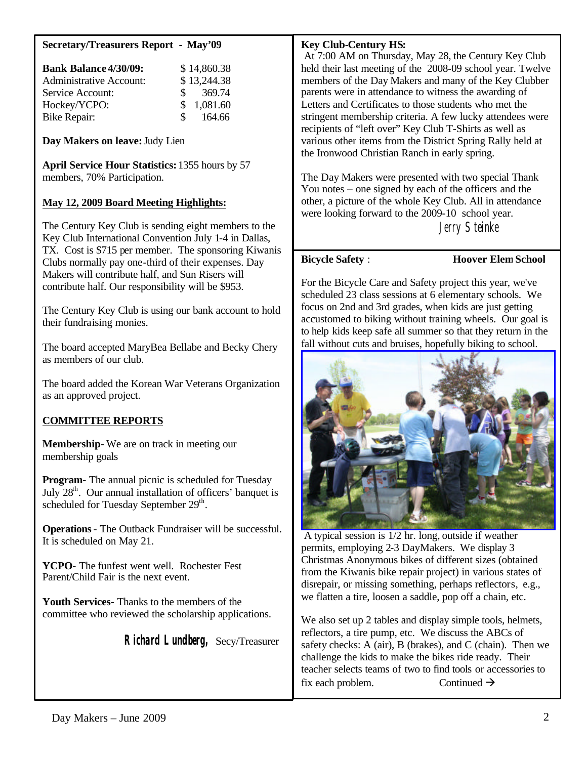## **Secretary/Treasurers Report - May'09**

| <b>Bank Balance 4/30/09:</b>   |               | \$14,860.38            |
|--------------------------------|---------------|------------------------|
| <b>Administrative Account:</b> |               | \$13,244.38            |
| Service Account:               |               | $\frac{\$}{\$}$ 369.74 |
| Hockey/YCPO:                   |               | \$1,081.60             |
| <b>Bike Repair:</b>            | $\mathcal{S}$ | 164.66                 |

**Day Makers on leave:**Judy Lien

**April Service Hour Statistics:** 1355 hours by 57 members, 70% Participation.

## **May 12, 2009 Board Meeting Highlights:**

The Century Key Club is sending eight members to the Key Club International Convention July 1-4 in Dallas, TX. Cost is \$715 per member. The sponsoring Kiwanis Clubs normally pay one-third of their expenses. Day Makers will contribute half, and Sun Risers will contribute half. Our responsibility will be \$953.

The Century Key Club is using our bank account to hold their fundraising monies.

The board accepted MaryBea Bellabe and Becky Chery as members of our club.

The board added the Korean War Veterans Organization as an approved project.

## **COMMITTEE REPORTS**

**Membership-** We are on track in meeting our membership goals

**Program-** The annual picnic is scheduled for Tuesday July  $28<sup>th</sup>$ . Our annual installation of officers' banquet is scheduled for Tuesday September 29<sup>th</sup>.

**Operations**- The Outback Fundraiser will be successful. It is scheduled on May 21.

**YCPO-** The funfest went well. Rochester Fest Parent/Child Fair is the next event.

**Youth Services-** Thanks to the members of the committee who reviewed the scholarship applications.

 **Richard Lundberg,** Secy/Treasurer

## **Key Club-Century HS:**

 At 7:00 AM on Thursday, May 28, the Century Key Club held their last meeting of the 2008-09 school year. Twelve members of the Day Makers and many of the Key Clubber parents were in attendance to witness the awarding of Letters and Certificates to those students who met the stringent membership criteria. A few lucky attendees were recipients of "left over" Key Club T-Shirts as well as various other items from the District Spring Rally held at the Ironwood Christian Ranch in early spring.

The Day Makers were presented with two special Thank You notes – one signed by each of the officers and the other, a picture of the whole Key Club. All in attendance were looking forward to the 2009-10 school year. Jerry Steinke

**Bicycle Safety** : **Hoover Elem School**

For the Bicycle Care and Safety project this year, we've scheduled 23 class sessions at 6 elementary schools. We focus on 2nd and 3rd grades, when kids are just getting accustomed to biking without training wheels. Our goal is to help kids keep safe all summer so that they return in the fall without cuts and bruises, hopefully biking to school.



A typical session is 1/2 hr. long, outside if weather permits, employing 2-3 DayMakers. We display 3 Christmas Anonymous bikes of different sizes (obtained from the Kiwanis bike repair project) in various states of disrepair, or missing something, perhaps reflectors, e.g., we flatten a tire, loosen a saddle, pop off a chain, etc.

We also set up 2 tables and display simple tools, helmets, reflectors, a tire pump, etc. We discuss the ABCs of safety checks: A (air), B (brakes), and C (chain). Then we challenge the kids to make the bikes ride ready. Their teacher selects teams of two to find tools or accessories to fix each problem. Continued  $\rightarrow$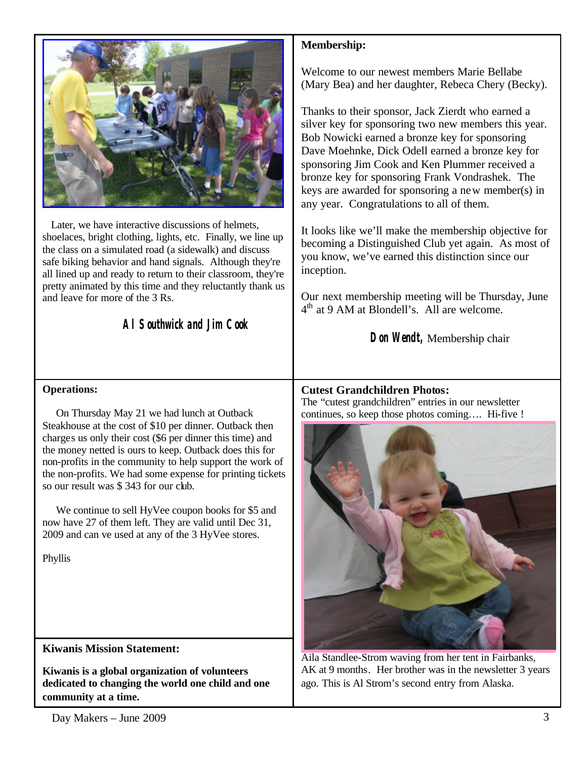

 Later, we have interactive discussions of helmets, shoelaces, bright clothing, lights, etc. Finally, we line up the class on a simulated road (a sidewalk) and discuss safe biking behavior and hand signals. Although they're all lined up and ready to return to their classroom, they're pretty animated by this time and they reluctantly thank us and leave for more of the 3 Rs.

*Al Southwick and Jim Cook*

# **Membership:**

Welcome to our newest members Marie Bellabe (Mary Bea) and her daughter, Rebeca Chery (Becky).

Thanks to their sponsor, Jack Zierdt who earned a silver key for sponsoring two new members this year. Bob Nowicki earned a bronze key for sponsoring Dave Moehnke, Dick Odell earned a bronze key for sponsoring Jim Cook and Ken Plummer received a bronze key for sponsoring Frank Vondrashek. The keys are awarded for sponsoring a new member(s) in any year. Congratulations to all of them.

It looks like we'll make the membership objective for becoming a Distinguished Club yet again. As most of you know, we've earned this distinction since our inception.

Our next membership meeting will be Thursday, June 4<sup>th</sup> at 9 AM at Blondell's. All are welcome.

**Don Wendt,** Membership chair

## **Operations:**

 On Thursday May 21 we had lunch at Outback Steakhouse at the cost of \$10 per dinner. Outback then charges us only their cost (\$6 per dinner this time) and the money netted is ours to keep. Outback does this for non-profits in the community to help support the work of the non-profits. We had some expense for printing tickets so our result was \$ 343 for our club.

 We continue to sell HyVee coupon books for \$5 and now have 27 of them left. They are valid until Dec 31, 2009 and can ve used at any of the 3 HyVee stores.

Phyllis

**Kiwanis Mission Statement:**

**Kiwanis is a global organization of volunteers dedicated to changing the world one child and one community at a time.**

**Cutest Grandchildren Photos:** The "cutest grandchildren" entries in our newsletter

continues, so keep those photos coming…. Hi-five !



Aila Standlee-Strom waving from her tent in Fairbanks, AK at 9 months. Her brother was in the newsletter 3 years ago. This is Al Strom's second entry from Alaska.